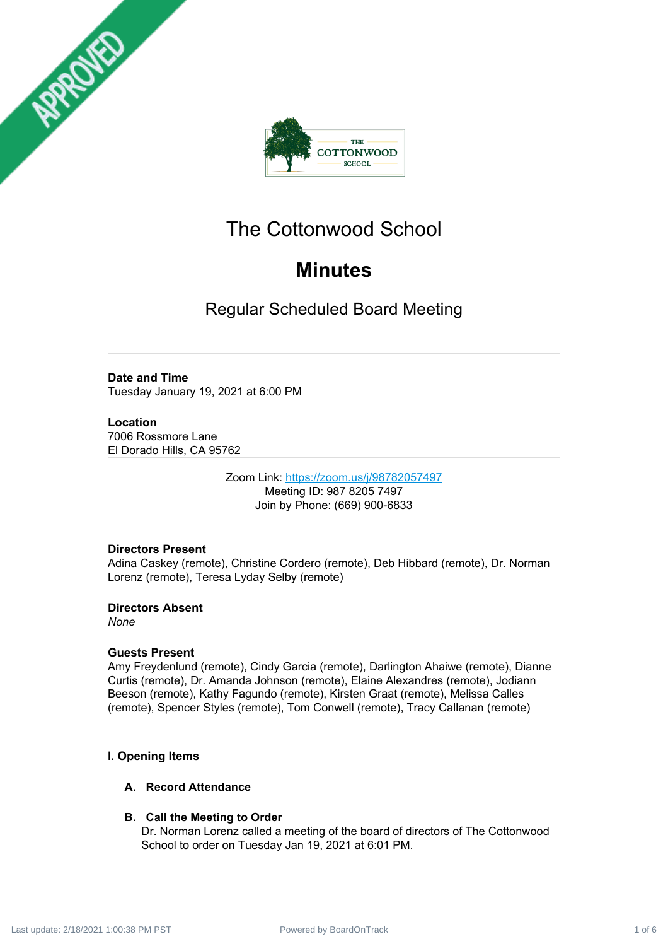



# The Cottonwood School

# **Minutes**

Regular Scheduled Board Meeting

# **Date and Time**

Tuesday January 19, 2021 at 6:00 PM

# **Location**

7006 Rossmore Lane El Dorado Hills, CA 95762

> Zoom Link: <https://zoom.us/j/98782057497> Meeting ID: 987 8205 7497 Join by Phone: (669) 900-6833

# **Directors Present**

Adina Caskey (remote), Christine Cordero (remote), Deb Hibbard (remote), Dr. Norman Lorenz (remote), Teresa Lyday Selby (remote)

# **Directors Absent**

*None*

# **Guests Present**

Amy Freydenlund (remote), Cindy Garcia (remote), Darlington Ahaiwe (remote), Dianne Curtis (remote), Dr. Amanda Johnson (remote), Elaine Alexandres (remote), Jodiann Beeson (remote), Kathy Fagundo (remote), Kirsten Graat (remote), Melissa Calles (remote), Spencer Styles (remote), Tom Conwell (remote), Tracy Callanan (remote)

# **I. Opening Items**

# **A. Record Attendance**

# **B. Call the Meeting to Order**

Dr. Norman Lorenz called a meeting of the board of directors of The Cottonwood School to order on Tuesday Jan 19, 2021 at 6:01 PM.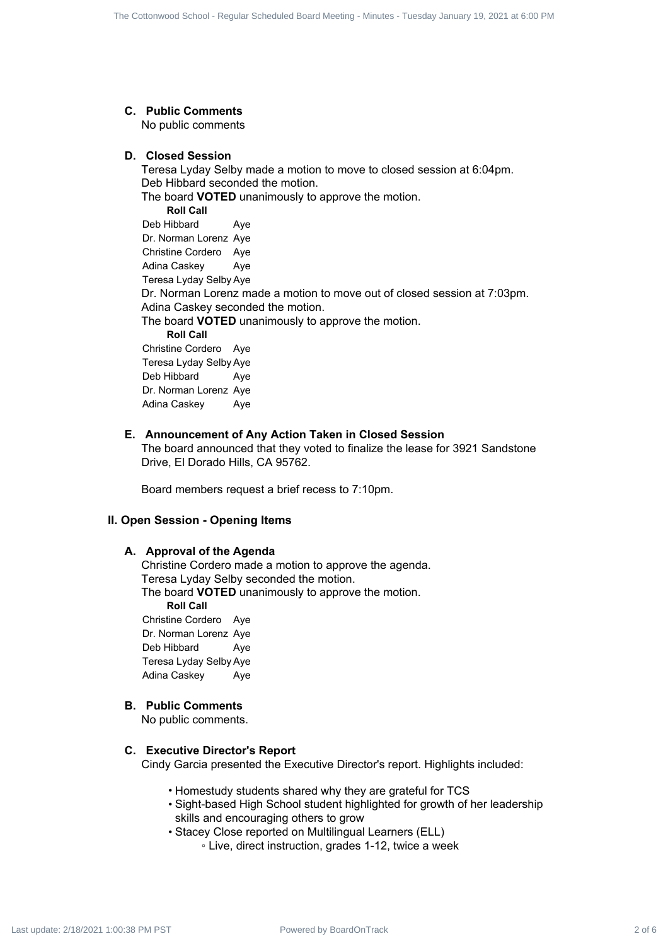# **C. Public Comments**

No public comments

#### **D. Closed Session**

Teresa Lyday Selby made a motion to move to closed session at 6:04pm. Deb Hibbard seconded the motion. The board **VOTED** unanimously to approve the motion. **Roll Call** Deb Hibbard Aye Dr. Norman Lorenz Aye Christine Cordero Aye Adina Caskey Aye Teresa Lyday Selby Aye Dr. Norman Lorenz made a motion to move out of closed session at 7:03pm. Adina Caskey seconded the motion. The board **VOTED** unanimously to approve the motion. **Roll Call** Christine Cordero Aye Teresa Lyday Selby Aye Deb Hibbard Aye Dr. Norman Lorenz Aye Adina Caskey Aye The Culturest Board Board Schedule 2 of 6 The Contenents<br> **C.** Publish Comments<br> **C.** Publish Contenents<br> **C.** Contest Schedule Track and the Tuesday Schedule Track 2 of 6 The Contenents of 8 The Contenents of 8 The Conte

### **E. Announcement of Any Action Taken in Closed Session**

The board announced that they voted to finalize the lease for 3921 Sandstone Drive, El Dorado Hills, CA 95762.

Board members request a brief recess to 7:10pm.

# **II. Open Session - Opening Items**

#### **A. Approval of the Agenda**

Christine Cordero made a motion to approve the agenda. Teresa Lyday Selby seconded the motion. The board **VOTED** unanimously to approve the motion. **Roll Call** Christine Cordero Aye Dr. Norman Lorenz Aye Deb Hibbard Aye Teresa Lyday Selby Aye Adina Caskey Aye

#### **B. Public Comments**

No public comments.

#### **C. Executive Director's Report**

Cindy Garcia presented the Executive Director's report. Highlights included:

- Homestudy students shared why they are grateful for TCS
- Sight-based High School student highlighted for growth of her leadership skills and encouraging others to grow
- Stacey Close reported on Multilingual Learners (ELL)
	- Live, direct instruction, grades 1-12, twice a week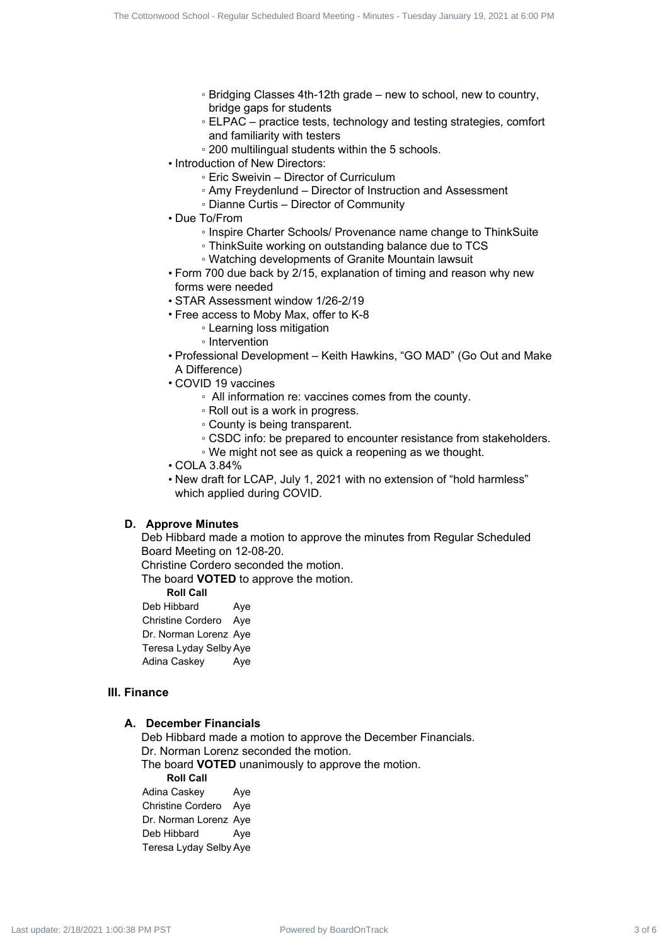- Bridging Classes 4th-12th grade new to school, new to country, bridge gaps for students
- ELPAC practice tests, technology and testing strategies, comfort and familiarity with testers
- 200 multilingual students within the 5 schools.
- Introduction of New Directors:
	- Eric Sweivin Director of Curriculum
	- Amy Freydenlund Director of Instruction and Assessment
	- Dianne Curtis Director of Community
- Due To/From
	- Inspire Charter Schools/ Provenance name change to ThinkSuite
	- ThinkSuite working on outstanding balance due to TCS
	- Watching developments of Granite Mountain lawsuit
- Form 700 due back by 2/15, explanation of timing and reason why new forms were needed
- STAR Assessment window 1/26-2/19
- Free access to Moby Max, offer to K-8
	- Learning loss mitigation
		- Intervention
- Professional Development Keith Hawkins, "GO MAD" (Go Out and Make A Difference)
- COVID 19 vaccines
	- All information re: vaccines comes from the county.
	- Roll out is a work in progress.
	- County is being transparent.
	- CSDC info: be prepared to encounter resistance from stakeholders.
	- We might not see as quick a reopening as we thought.
- COLA 3.84%
- New draft for LCAP, July 1, 2021 with no extension of "hold harmless" which applied during COVID.

#### **D. Approve Minutes**

Deb Hibbard made a motion to approve the minutes from Regular Scheduled Board Meeting on 12-08-20.

Christine Cordero seconded the motion.

The board **VOTED** to approve the motion.

**Roll Call**

Deb Hibbard Aye Christine Cordero Aye Dr. Norman Lorenz Aye Teresa Lyday Selby Aye Adina Caskey Aye

#### **III. Finance**

#### **A. December Financials**

Deb Hibbard made a motion to approve the December Financials. Dr. Norman Lorenz seconded the motion. The board **VOTED** unanimously to approve the motion. **Roll Call** Adina Caskey Aye Christine Cordero Aye Dr. Norman Lorenz Aye Deb Hibbard Aye Teresa Lyday Selby Aye The Counter by Board is choosen 4 of 6 The Cottonwood Scheduled Board Scheduled Board Scheduled Board Scheduled Board Scheduled Board Meeting - Tuesday January 19, 2021 at 6:00 PM Last update: 2/18/2021 at  $\frac{1}{2}$  at 6: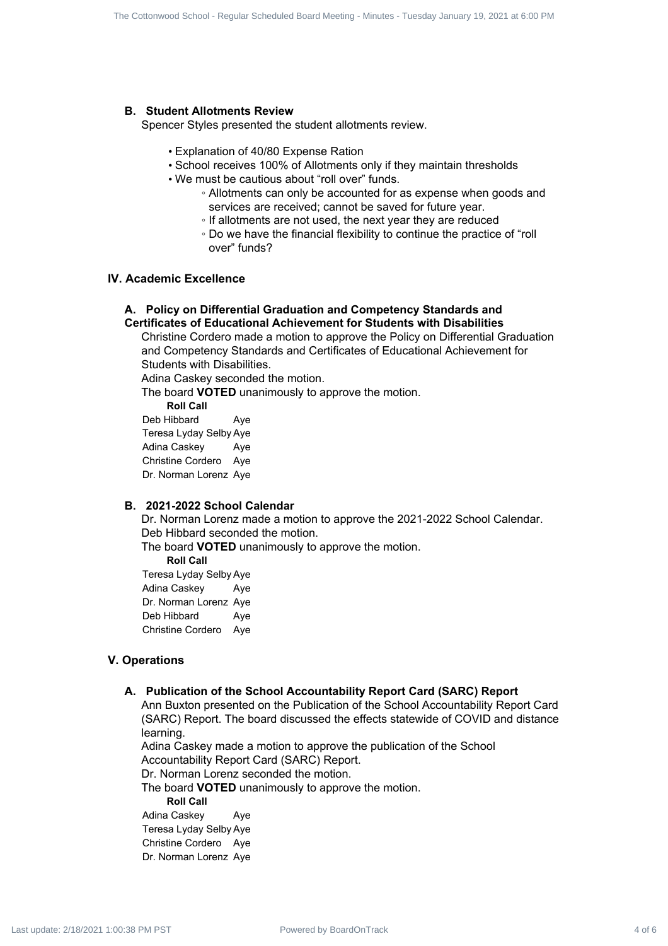#### **B. Student Allotments Review**

Spencer Styles presented the student allotments review.

- Explanation of 40/80 Expense Ration
- School receives 100% of Allotments only if they maintain thresholds
- We must be cautious about "roll over" funds.
	- Allotments can only be accounted for as expense when goods and services are received; cannot be saved for future year.
	- If allotments are not used, the next year they are reduced
	- Do we have the financial flexibility to continue the practice of "roll over" funds?

# **IV. Academic Excellence**

#### **A. Policy on Differential Graduation and Competency Standards and Certificates of Educational Achievement for Students with Disabilities**

Christine Cordero made a motion to approve the Policy on Differential Graduation and Competency Standards and Certificates of Educational Achievement for Students with Disabilities. The Counseles Board Board Board Board Board Board Board Board Board Counsel Service Specification of 4000 September 19, 2021 at 6:00 PM Last update: The Contents of Advised Board Meeting - Tuesday January 19, 2021 at 6:00

Adina Caskey seconded the motion.

The board **VOTED** unanimously to approve the motion.

**Roll Call**

Deb Hibbard Ave Teresa Lyday Selby Aye Adina Caskey Aye Christine Cordero Aye Dr. Norman Lorenz Aye

#### **B. 2021-2022 School Calendar**

Dr. Norman Lorenz made a motion to approve the 2021-2022 School Calendar. Deb Hibbard seconded the motion.

The board **VOTED** unanimously to approve the motion.

**Roll Call**

Teresa Lyday Selby Aye Adina Caskey Aye Dr. Norman Lorenz Aye Deb Hibbard Aye Christine Cordero Aye

#### **V. Operations**

#### **A. Publication of the School Accountability Report Card (SARC) Report**

Ann Buxton presented on the Publication of the School Accountability Report Card (SARC) Report. The board discussed the effects statewide of COVID and distance learning.

Adina Caskey made a motion to approve the publication of the School Accountability Report Card (SARC) Report.

Dr. Norman Lorenz seconded the motion.

The board **VOTED** unanimously to approve the motion.

**Roll Call**

Adina Caskey Aye Teresa Lyday Selby Aye Christine Cordero Aye Dr. Norman Lorenz Aye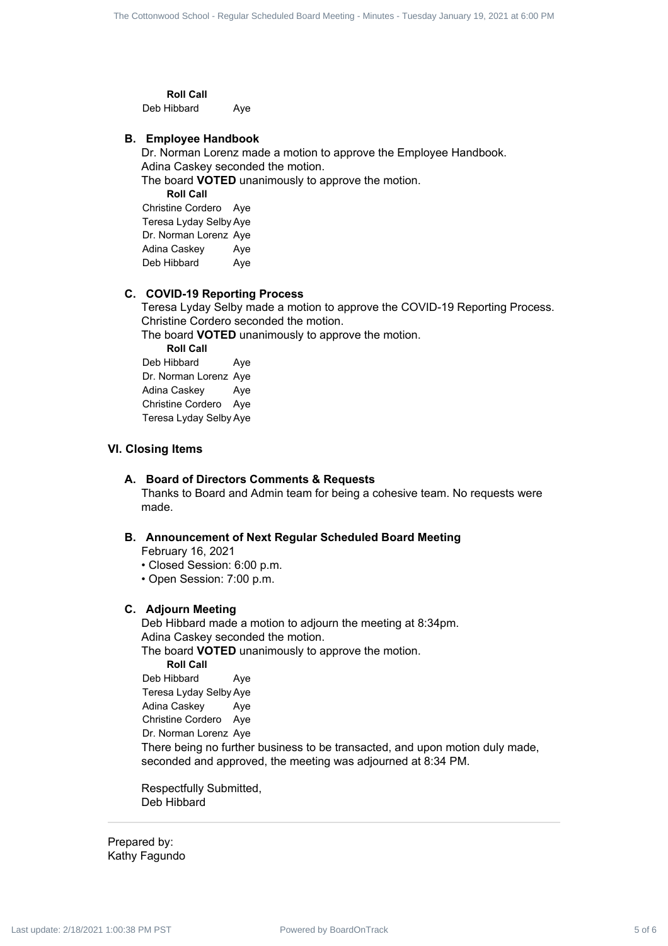**Roll Call**

Deb Hibbard Aye

#### **B. Employee Handbook**

Dr. Norman Lorenz made a motion to approve the Employee Handbook. Adina Caskey seconded the motion.

The board **VOTED** unanimously to approve the motion. **Roll Call** Christine Cordero Aye Teresa Lyday Selby Aye Dr. Norman Lorenz Aye Adina Caskey Aye Deb Hibbard Aye

#### **C. COVID-19 Reporting Process**

Teresa Lyday Selby made a motion to approve the COVID-19 Reporting Process. Christine Cordero seconded the motion.

The board **VOTED** unanimously to approve the motion.

**Roll Call** Deb Hibbard Aye Dr. Norman Lorenz Aye Adina Caskey Ave Christine Cordero Aye Teresa Lyday Selby Aye

#### **VI. Closing Items**

#### **A. Board of Directors Comments & Requests**

Thanks to Board and Admin team for being a cohesive team. No requests were made.

### **B. Announcement of Next Regular Scheduled Board Meeting**

February 16, 2021

- Closed Session: 6:00 p.m.
- Open Session: 7:00 p.m.

#### **C. Adjourn Meeting**

Deb Hibbard made a motion to adjourn the meeting at 8:34pm. Adina Caskey seconded the motion. The board **VOTED** unanimously to approve the motion. **Roll Call** Deb Hibbard Ave Teresa Lyday Selby Aye Adina Caskey Aye Christine Cordero Aye Dr. Norman Lorenz Aye There being no further business to be transacted, and upon motion duly made, seconded and approved, the meeting was adjourned at 8:34 PM. The Counselies from Board is electronwood School - Regular Scheduled Board The Contemporary 19, 2021 at 6:00 PM Last update: The Contemporary 19, 2021 at 6:00 PM Last update: The Contemporary 19, 2021 at 6:00 PM Last upda

Respectfully Submitted, Deb Hibbard

Prepared by: Kathy Fagundo